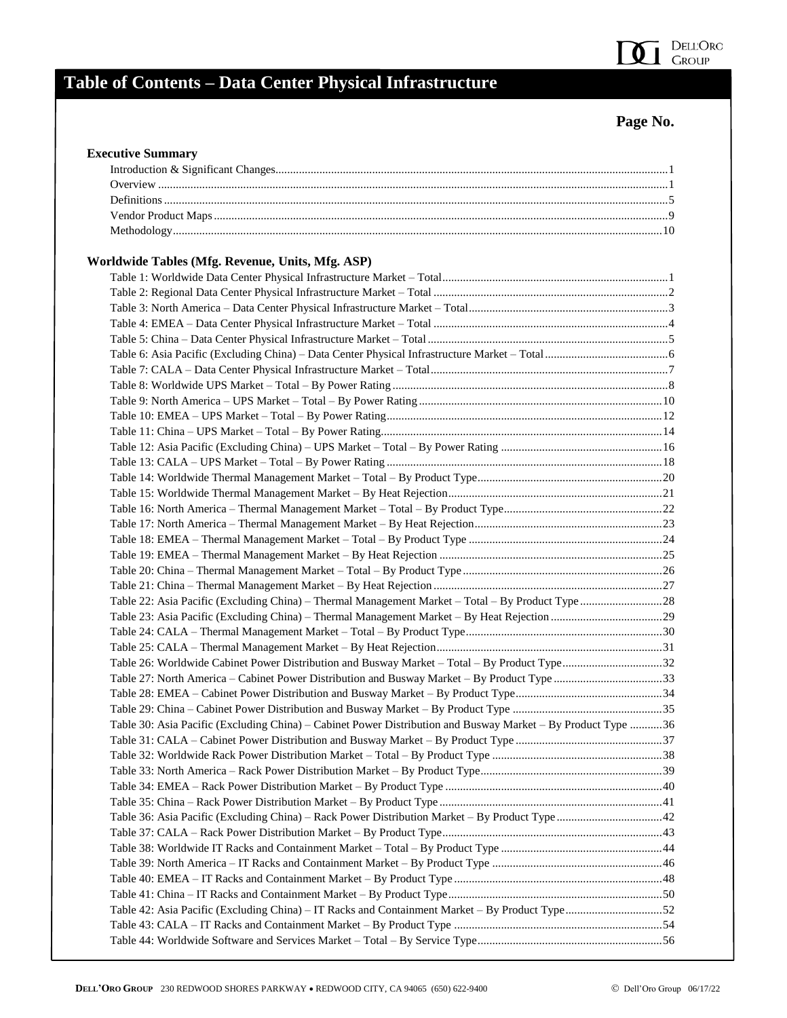## **Page No.**

 $\delta$  1

DELL'Oro<br>Group

| <b>Executive Summary</b>                                                                                     |  |
|--------------------------------------------------------------------------------------------------------------|--|
|                                                                                                              |  |
|                                                                                                              |  |
|                                                                                                              |  |
|                                                                                                              |  |
|                                                                                                              |  |
| Worldwide Tables (Mfg. Revenue, Units, Mfg. ASP)                                                             |  |
|                                                                                                              |  |
|                                                                                                              |  |
|                                                                                                              |  |
|                                                                                                              |  |
|                                                                                                              |  |
|                                                                                                              |  |
|                                                                                                              |  |
|                                                                                                              |  |
|                                                                                                              |  |
|                                                                                                              |  |
|                                                                                                              |  |
|                                                                                                              |  |
|                                                                                                              |  |
|                                                                                                              |  |
|                                                                                                              |  |
|                                                                                                              |  |
|                                                                                                              |  |
|                                                                                                              |  |
|                                                                                                              |  |
|                                                                                                              |  |
|                                                                                                              |  |
|                                                                                                              |  |
|                                                                                                              |  |
|                                                                                                              |  |
|                                                                                                              |  |
| Table 26: Worldwide Cabinet Power Distribution and Busway Market - Total - By Product Type32                 |  |
| Table 27: North America – Cabinet Power Distribution and Busway Market – By Product Type 33                  |  |
|                                                                                                              |  |
|                                                                                                              |  |
| Table 30: Asia Pacific (Excluding China) – Cabinet Power Distribution and Busway Market – By Product Type 36 |  |
|                                                                                                              |  |
|                                                                                                              |  |
|                                                                                                              |  |
|                                                                                                              |  |
|                                                                                                              |  |
|                                                                                                              |  |
|                                                                                                              |  |
|                                                                                                              |  |
|                                                                                                              |  |
|                                                                                                              |  |
|                                                                                                              |  |
| Table 42: Asia Pacific (Excluding China) – IT Racks and Containment Market – By Product Type52               |  |
|                                                                                                              |  |
|                                                                                                              |  |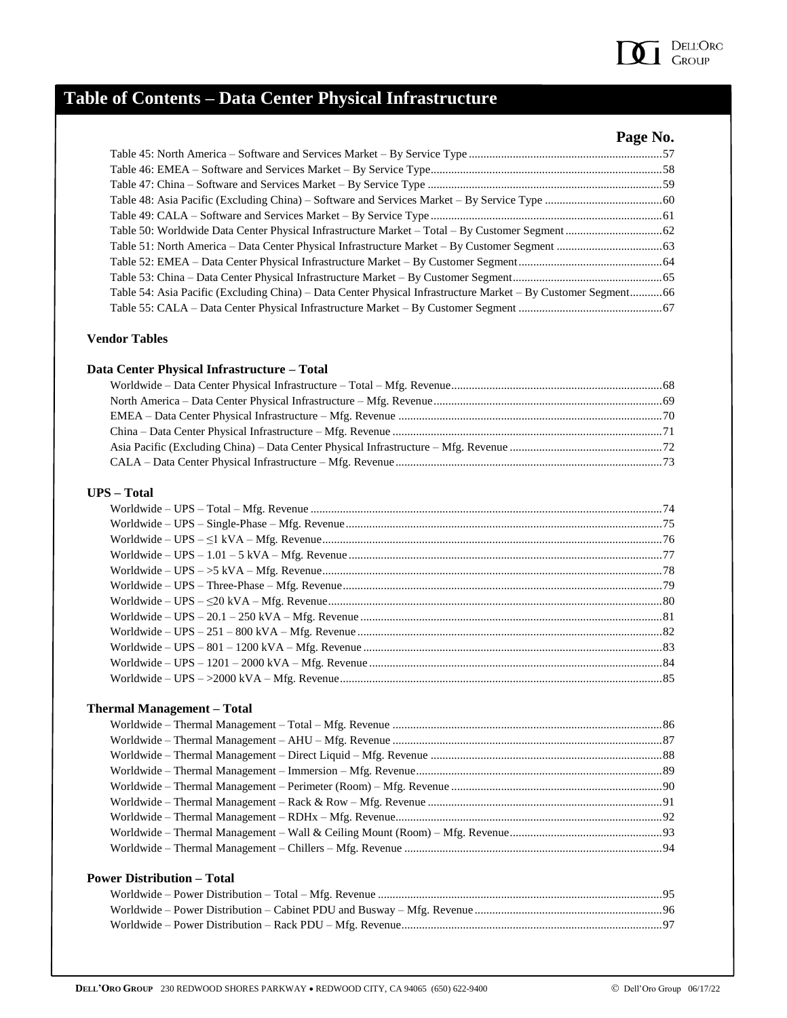

## **Page No.**

| Table 54: Asia Pacific (Excluding China) – Data Center Physical Infrastructure Market – By Customer Segment66 |  |
|---------------------------------------------------------------------------------------------------------------|--|
|                                                                                                               |  |
|                                                                                                               |  |

### **Vendor Tables**

#### **Data Center Physical Infrastructure – Total**

#### **UPS – Total**

### **Thermal Management – Total**

### **Power Distribution – Total**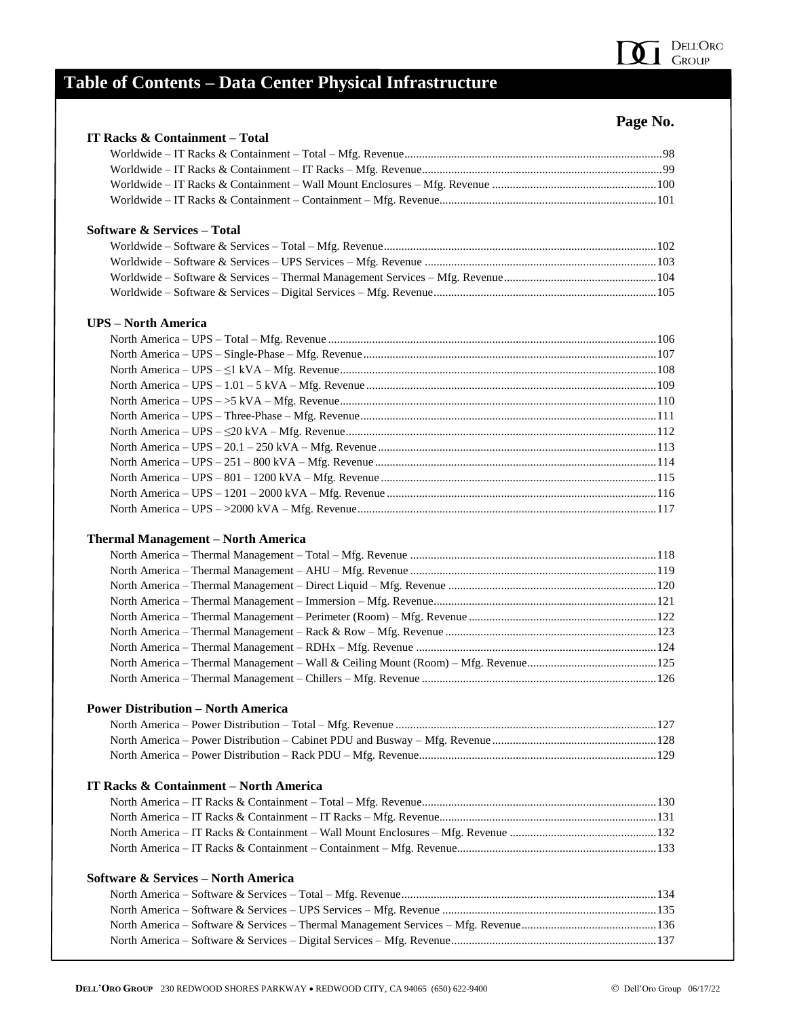

## **Page No.**

| IT Racks & Containment - Total                 | 1 agu 1 v. |
|------------------------------------------------|------------|
|                                                |            |
|                                                |            |
|                                                |            |
|                                                |            |
|                                                |            |
| <b>Software &amp; Services – Total</b>         |            |
|                                                |            |
|                                                |            |
|                                                |            |
|                                                |            |
|                                                |            |
| <b>UPS</b> – North America                     |            |
|                                                |            |
|                                                |            |
|                                                |            |
|                                                |            |
|                                                |            |
|                                                |            |
|                                                |            |
|                                                |            |
|                                                |            |
|                                                |            |
|                                                |            |
|                                                |            |
| <b>Thermal Management - North America</b>      |            |
|                                                |            |
|                                                |            |
|                                                |            |
|                                                |            |
|                                                |            |
|                                                |            |
|                                                |            |
|                                                |            |
|                                                |            |
|                                                |            |
| <b>Power Distribution - North America</b>      |            |
|                                                |            |
|                                                |            |
|                                                |            |
|                                                |            |
| IT Racks & Containment – North America         |            |
|                                                |            |
|                                                |            |
|                                                |            |
|                                                |            |
| <b>Software &amp; Services – North America</b> |            |
|                                                |            |
|                                                |            |
|                                                |            |
|                                                |            |
|                                                |            |
|                                                |            |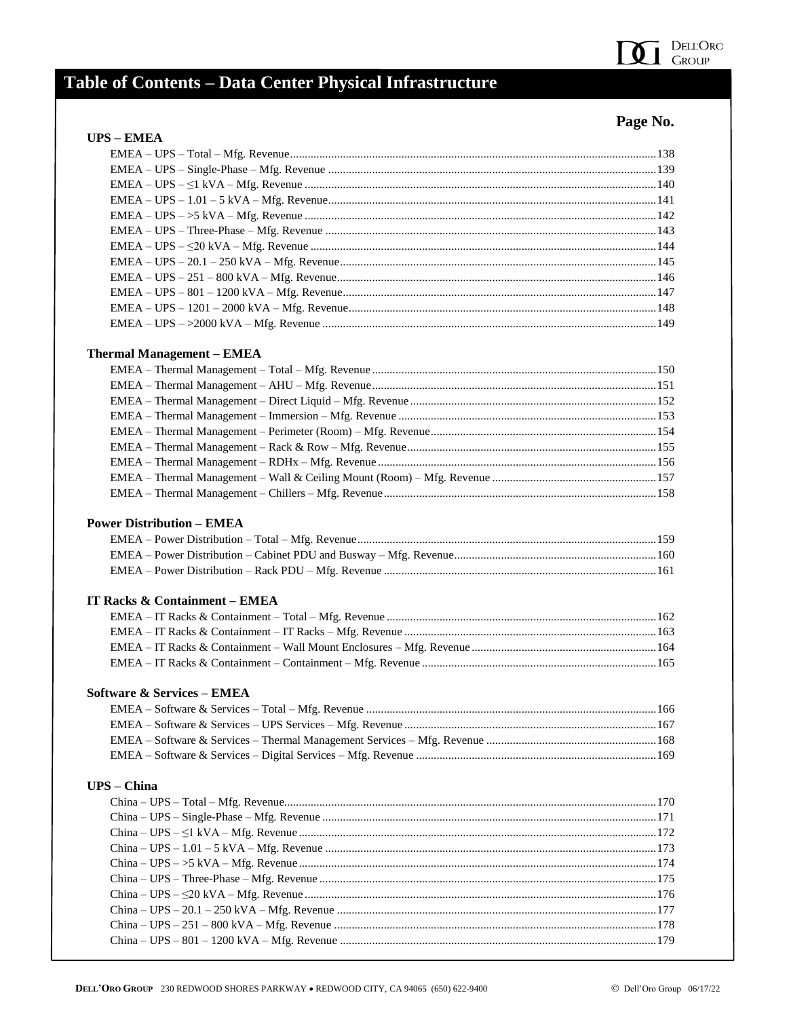

## Page No.

| <b>UPS - EMEA</b> |  |
|-------------------|--|
|                   |  |
|                   |  |
|                   |  |
|                   |  |
|                   |  |
|                   |  |
|                   |  |
|                   |  |
|                   |  |
|                   |  |
|                   |  |
|                   |  |
|                   |  |

### **Thermal Management - EMEA**

### **Power Distribution - EMEA**

#### **IT Racks & Containment - EMEA**

### **Software & Services - EMEA**

### UPS - China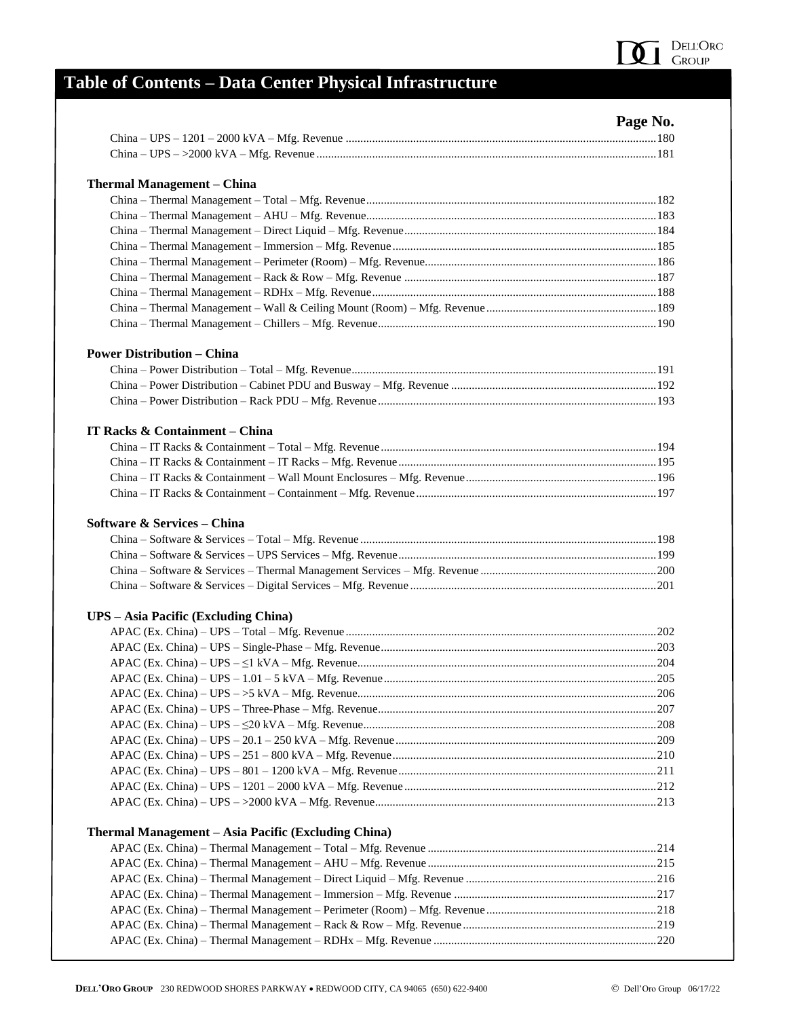

| ৲<br>n<br>11.ZJ<br>u |
|----------------------|
|----------------------|

|                                                     | rage No. |
|-----------------------------------------------------|----------|
|                                                     |          |
|                                                     |          |
| <b>Thermal Management – China</b>                   |          |
|                                                     |          |
|                                                     |          |
|                                                     |          |
|                                                     |          |
|                                                     |          |
|                                                     |          |
|                                                     |          |
|                                                     |          |
|                                                     |          |
| <b>Power Distribution – China</b>                   |          |
|                                                     |          |
|                                                     |          |
|                                                     |          |
| IT Racks & Containment - China                      |          |
|                                                     |          |
|                                                     |          |
|                                                     |          |
|                                                     |          |
| Software & Services - China                         |          |
|                                                     |          |
|                                                     |          |
|                                                     |          |
| <b>UPS</b> – Asia Pacific (Excluding China)         |          |
|                                                     |          |
|                                                     |          |
|                                                     |          |
|                                                     |          |
|                                                     |          |
|                                                     |          |
|                                                     |          |
|                                                     |          |
|                                                     |          |
|                                                     |          |
|                                                     |          |
|                                                     |          |
| Thermal Management – Asia Pacific (Excluding China) |          |
|                                                     |          |
|                                                     |          |
|                                                     |          |
|                                                     |          |
|                                                     |          |
|                                                     |          |
|                                                     |          |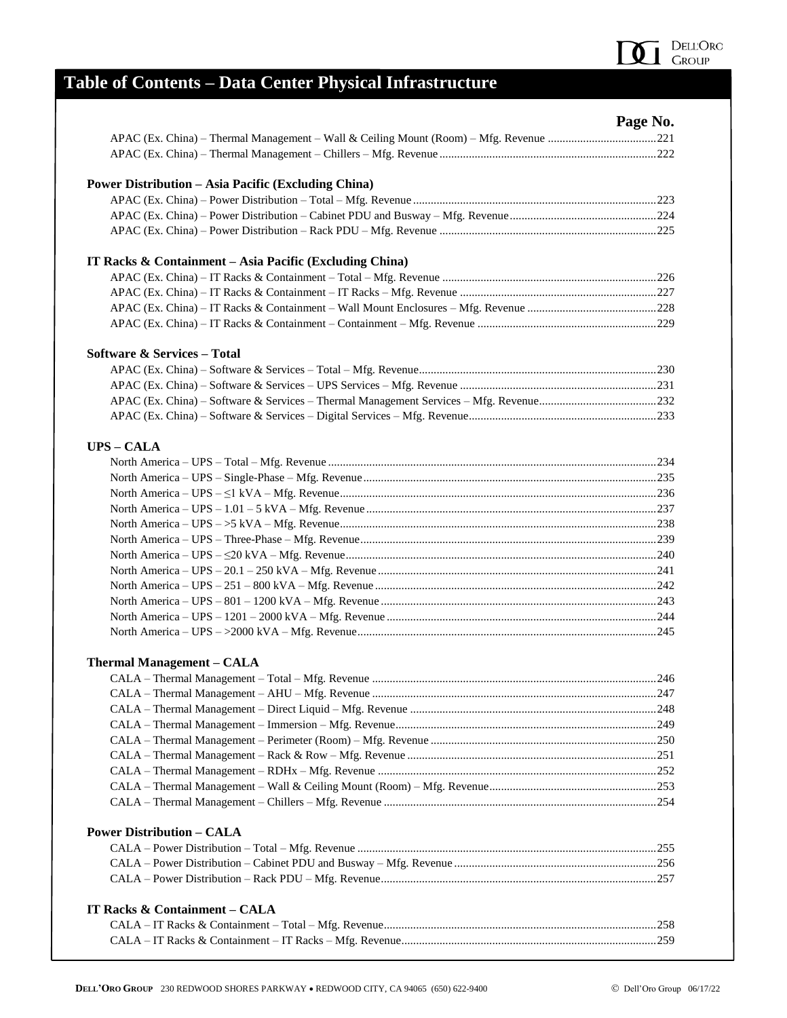

| п.<br>''<br>n<br>٠<br>н |
|-------------------------|
|-------------------------|

| <b>Power Distribution - Asia Pacific (Excluding China)</b><br>IT Racks & Containment $-$ Asia Pacific (Excluding China)<br><b>Software &amp; Services – Total</b><br><b>UPS - CALA</b><br><b>Thermal Management - CALA</b><br><b>Power Distribution - CALA</b> | rage No. |
|----------------------------------------------------------------------------------------------------------------------------------------------------------------------------------------------------------------------------------------------------------------|----------|
|                                                                                                                                                                                                                                                                |          |
|                                                                                                                                                                                                                                                                |          |
|                                                                                                                                                                                                                                                                |          |
|                                                                                                                                                                                                                                                                |          |
|                                                                                                                                                                                                                                                                |          |
|                                                                                                                                                                                                                                                                |          |
|                                                                                                                                                                                                                                                                |          |
|                                                                                                                                                                                                                                                                |          |
|                                                                                                                                                                                                                                                                |          |
|                                                                                                                                                                                                                                                                |          |
|                                                                                                                                                                                                                                                                |          |
|                                                                                                                                                                                                                                                                |          |
|                                                                                                                                                                                                                                                                |          |
|                                                                                                                                                                                                                                                                |          |
|                                                                                                                                                                                                                                                                |          |
|                                                                                                                                                                                                                                                                |          |
|                                                                                                                                                                                                                                                                |          |
|                                                                                                                                                                                                                                                                |          |
|                                                                                                                                                                                                                                                                |          |
|                                                                                                                                                                                                                                                                |          |
|                                                                                                                                                                                                                                                                |          |
|                                                                                                                                                                                                                                                                |          |
|                                                                                                                                                                                                                                                                |          |
|                                                                                                                                                                                                                                                                |          |
|                                                                                                                                                                                                                                                                |          |
|                                                                                                                                                                                                                                                                |          |
|                                                                                                                                                                                                                                                                |          |
|                                                                                                                                                                                                                                                                |          |
|                                                                                                                                                                                                                                                                |          |
|                                                                                                                                                                                                                                                                |          |
|                                                                                                                                                                                                                                                                |          |
|                                                                                                                                                                                                                                                                |          |
|                                                                                                                                                                                                                                                                |          |
|                                                                                                                                                                                                                                                                |          |
|                                                                                                                                                                                                                                                                |          |
|                                                                                                                                                                                                                                                                |          |
|                                                                                                                                                                                                                                                                |          |
|                                                                                                                                                                                                                                                                |          |
|                                                                                                                                                                                                                                                                |          |
|                                                                                                                                                                                                                                                                |          |
|                                                                                                                                                                                                                                                                |          |
|                                                                                                                                                                                                                                                                |          |
|                                                                                                                                                                                                                                                                |          |
| IT Racks & Containment - CALA                                                                                                                                                                                                                                  |          |
|                                                                                                                                                                                                                                                                |          |
|                                                                                                                                                                                                                                                                |          |